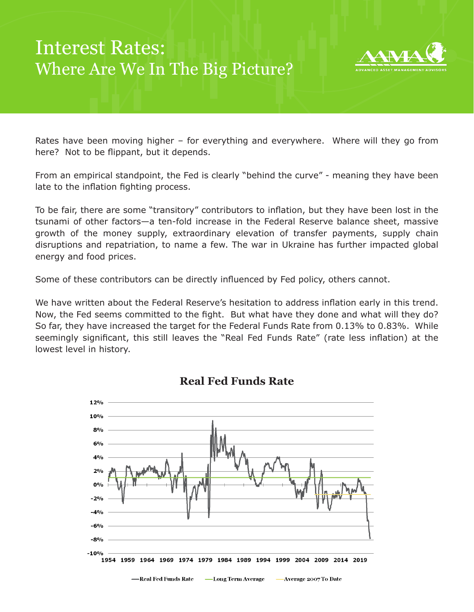## Interest Rates: Where Are We In The Big Picture?



Rates have been moving higher – for everything and everywhere. Where will they go from here? Not to be flippant, but it depends.

From an empirical standpoint, the Fed is clearly "behind the curve" - meaning they have been late to the inflation fighting process.

To be fair, there are some "transitory" contributors to inflation, but they have been lost in the tsunami of other factors—a ten-fold increase in the Federal Reserve balance sheet, massive growth of the money supply, extraordinary elevation of transfer payments, supply chain disruptions and repatriation, to name a few. The war in Ukraine has further impacted global energy and food prices.

Some of these contributors can be directly influenced by Fed policy, others cannot.

We have written about the Federal Reserve's hesitation to address inflation early in this trend. Now, the Fed seems committed to the fight. But what have they done and what will they do? So far, they have increased the target for the Federal Funds Rate from 0.13% to 0.83%. While seemingly significant, this still leaves the "Real Fed Funds Rate" (rate less inflation) at the lowest level in history.



**Real Fed Funds Rate**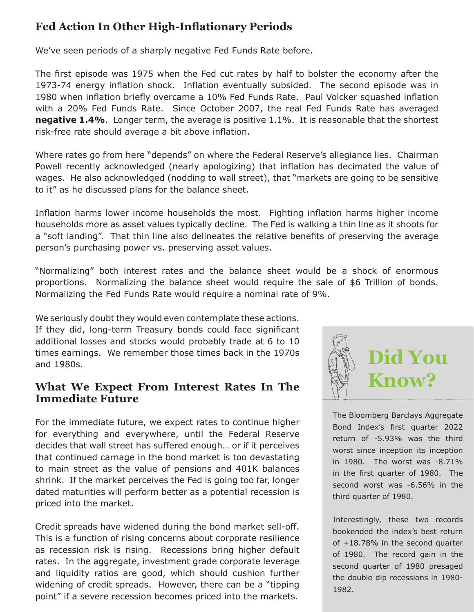## **Fed Action In Other High-Inflationary Periods**

We've seen periods of a sharply negative Fed Funds Rate before.

The first episode was 1975 when the Fed cut rates by half to bolster the economy after the 1973-74 energy inflation shock. Inflation eventually subsided. The second episode was in 1980 when inflation briefly overcame a 10% Fed Funds Rate. Paul Volcker squashed inflation with a 20% Fed Funds Rate. Since October 2007, the real Fed Funds Rate has averaged **negative 1.4%**. Longer term, the average is positive 1.1%. It is reasonable that the shortest risk-free rate should average a bit above inflation.

Where rates go from here "depends" on where the Federal Reserve's allegiance lies. Chairman Powell recently acknowledged (nearly apologizing) that inflation has decimated the value of wages. He also acknowledged (nodding to wall street), that "markets are going to be sensitive to it" as he discussed plans for the balance sheet.

Inflation harms lower income households the most. Fighting inflation harms higher income households more as asset values typically decline. The Fed is walking a thin line as it shoots for a "soft landing". That thin line also delineates the relative benefits of preserving the average person's purchasing power vs. preserving asset values.

"Normalizing" both interest rates and the balance sheet would be a shock of enormous proportions. Normalizing the balance sheet would require the sale of \$6 Trillion of bonds. Normalizing the Fed Funds Rate would require a nominal rate of 9%.

We seriously doubt they would even contemplate these actions. If they did, long-term Treasury bonds could face significant additional losses and stocks would probably trade at 6 to 10 times earnings. We remember those times back in the 1970s and 1980s.

## **What We Expect From Interest Rates In The Immediate Future**

For the immediate future, we expect rates to continue higher for everything and everywhere, until the Federal Reserve decides that wall street has suffered enough… or if it perceives that continued carnage in the bond market is too devastating to main street as the value of pensions and 401K balances shrink. If the market perceives the Fed is going too far, longer dated maturities will perform better as a potential recession is priced into the market.

Credit spreads have widened during the bond market sell-off. This is a function of rising concerns about corporate resilience as recession risk is rising. Recessions bring higher default rates. In the aggregate, investment grade corporate leverage and liquidity ratios are good, which should cushion further widening of credit spreads. However, there can be a "tipping point" if a severe recession becomes priced into the markets.



The Bloomberg Barclays Aggregate Bond Index's first quarter 2022 return of -5.93% was the third worst since inception its inception in 1980. The worst was -8.71% in the first quarter of 1980. The second worst was -6.56% in the third quarter of 1980.

Interestingly, these two records bookended the index's best return of +18.78% in the second quarter of 1980. The record gain in the second quarter of 1980 presaged the double dip recessions in 1980- 1982.